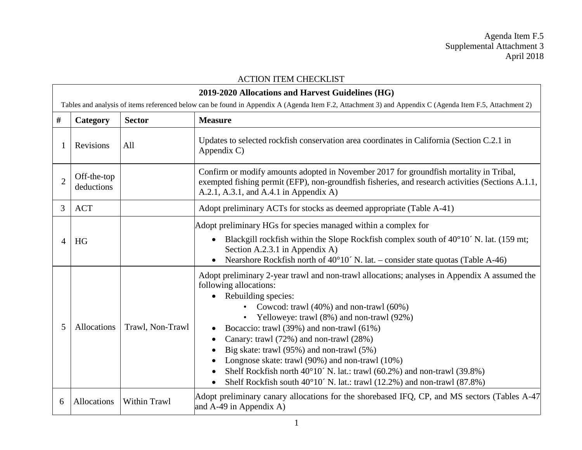Agenda Item F.5 Supplemental Attachment 3 April 2018

|                | <b>ACTION ITEM CHECKLIST</b>                                                                                                                            |                     |                                                                                                                                                                                                                                                                                                                                                                                                                                                                                                                                                                                                               |  |
|----------------|---------------------------------------------------------------------------------------------------------------------------------------------------------|---------------------|---------------------------------------------------------------------------------------------------------------------------------------------------------------------------------------------------------------------------------------------------------------------------------------------------------------------------------------------------------------------------------------------------------------------------------------------------------------------------------------------------------------------------------------------------------------------------------------------------------------|--|
|                | 2019-2020 Allocations and Harvest Guidelines (HG)                                                                                                       |                     |                                                                                                                                                                                                                                                                                                                                                                                                                                                                                                                                                                                                               |  |
|                | Tables and analysis of items referenced below can be found in Appendix A (Agenda Item F.2, Attachment 3) and Appendix C (Agenda Item F.5, Attachment 2) |                     |                                                                                                                                                                                                                                                                                                                                                                                                                                                                                                                                                                                                               |  |
| #              | Category                                                                                                                                                | <b>Sector</b>       | <b>Measure</b>                                                                                                                                                                                                                                                                                                                                                                                                                                                                                                                                                                                                |  |
|                | Revisions                                                                                                                                               | All                 | Updates to selected rockfish conservation area coordinates in California (Section C.2.1 in<br>Appendix C)                                                                                                                                                                                                                                                                                                                                                                                                                                                                                                     |  |
| $\overline{2}$ | Off-the-top<br>deductions                                                                                                                               |                     | Confirm or modify amounts adopted in November 2017 for groundfish mortality in Tribal,<br>exempted fishing permit (EFP), non-groundfish fisheries, and research activities (Sections A.1.1,<br>A.2.1, A.3.1, and A.4.1 in Appendix A)                                                                                                                                                                                                                                                                                                                                                                         |  |
| 3              | <b>ACT</b>                                                                                                                                              |                     | Adopt preliminary ACTs for stocks as deemed appropriate (Table A-41)                                                                                                                                                                                                                                                                                                                                                                                                                                                                                                                                          |  |
| $\overline{A}$ | HG                                                                                                                                                      |                     | Adopt preliminary HGs for species managed within a complex for<br>Blackgill rockfish within the Slope Rockfish complex south of 40°10′ N. lat. (159 mt;<br>$\bullet$<br>Section A.2.3.1 in Appendix A)<br>Nearshore Rockfish north of $40^{\circ}10'$ N. lat. – consider state quotas (Table A-46)<br>$\bullet$                                                                                                                                                                                                                                                                                               |  |
| 5              | Allocations                                                                                                                                             | Trawl, Non-Trawl    | Adopt preliminary 2-year trawl and non-trawl allocations; analyses in Appendix A assumed the<br>following allocations:<br>Rebuilding species:<br>Cowcod: trawl $(40\%)$ and non-trawl $(60\%)$<br>$\bullet$<br>Yelloweye: trawl (8%) and non-trawl (92%)<br>Bocaccio: trawl (39%) and non-trawl (61%)<br>Canary: trawl (72%) and non-trawl (28%)<br>٠<br>Big skate: trawl (95%) and non-trawl (5%)<br>Longnose skate: trawl (90%) and non-trawl (10%)<br>Shelf Rockfish north 40°10′ N. lat.: trawl (60.2%) and non-trawl (39.8%)<br>Shelf Rockfish south 40°10′ N. lat.: trawl (12.2%) and non-trawl (87.8%) |  |
| 6              | Allocations                                                                                                                                             | <b>Within Trawl</b> | Adopt preliminary canary allocations for the shorebased IFQ, CP, and MS sectors (Tables A-47)<br>and $A-49$ in Appendix A)                                                                                                                                                                                                                                                                                                                                                                                                                                                                                    |  |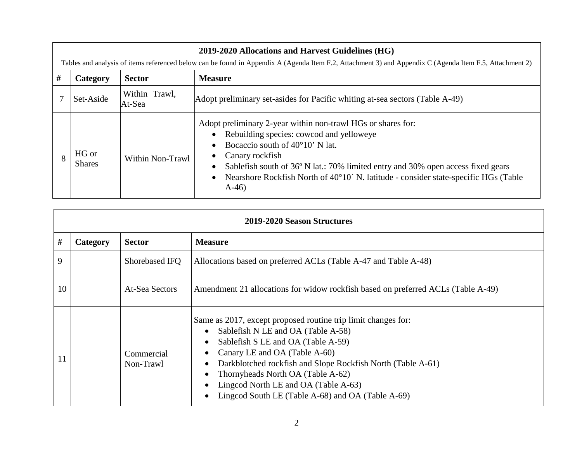| 2019-2020 Allocations and Harvest Guidelines (HG) |                                                                                                                                                         |                         |                                                                                                                                                                                                                                                                                                                                                              |  |
|---------------------------------------------------|---------------------------------------------------------------------------------------------------------------------------------------------------------|-------------------------|--------------------------------------------------------------------------------------------------------------------------------------------------------------------------------------------------------------------------------------------------------------------------------------------------------------------------------------------------------------|--|
|                                                   | Tables and analysis of items referenced below can be found in Appendix A (Agenda Item F.2, Attachment 3) and Appendix C (Agenda Item F.5, Attachment 2) |                         |                                                                                                                                                                                                                                                                                                                                                              |  |
| #                                                 | Category                                                                                                                                                | <b>Sector</b>           | <b>Measure</b>                                                                                                                                                                                                                                                                                                                                               |  |
|                                                   | Set-Aside                                                                                                                                               | Within Trawl,<br>At-Sea | Adopt preliminary set-asides for Pacific whiting at-sea sectors (Table A-49)                                                                                                                                                                                                                                                                                 |  |
| 8                                                 | HG or<br><b>Shares</b>                                                                                                                                  | Within Non-Trawl        | Adopt preliminary 2-year within non-trawl HGs or shares for:<br>Rebuilding species: cowcod and yelloweye<br>Bocaccio south of $40^{\circ}10'$ N lat.<br>Canary rockfish<br>Sablefish south of 36° N lat.: 70% limited entry and 30% open access fixed gears<br>Nearshore Rockfish North of 40°10′ N. latitude - consider state-specific HGs (Table<br>$A-46$ |  |

|    | 2019-2020 Season Structures |                         |                                                                                                                                                                                                                                                                                                                                                                                                                                                           |  |
|----|-----------------------------|-------------------------|-----------------------------------------------------------------------------------------------------------------------------------------------------------------------------------------------------------------------------------------------------------------------------------------------------------------------------------------------------------------------------------------------------------------------------------------------------------|--|
| #  | Category                    | <b>Sector</b>           | <b>Measure</b>                                                                                                                                                                                                                                                                                                                                                                                                                                            |  |
| 9  |                             | Shorebased IFQ          | Allocations based on preferred ACLs (Table A-47 and Table A-48)                                                                                                                                                                                                                                                                                                                                                                                           |  |
| 10 |                             | At-Sea Sectors          | Amendment 21 allocations for widow rockfish based on preferred ACLs (Table A-49)                                                                                                                                                                                                                                                                                                                                                                          |  |
|    |                             | Commercial<br>Non-Trawl | Same as 2017, except proposed routine trip limit changes for:<br>Sablefish N LE and OA (Table A-58)<br>$\bullet$<br>Sablefish S LE and OA (Table A-59)<br>$\bullet$<br>Canary LE and OA (Table A-60)<br>$\bullet$<br>Darkblotched rockfish and Slope Rockfish North (Table A-61)<br>$\bullet$<br>Thornyheads North OA (Table A-62)<br>$\bullet$<br>Lingcod North LE and OA (Table A-63)<br>$\bullet$<br>Lingcod South LE (Table A-68) and OA (Table A-69) |  |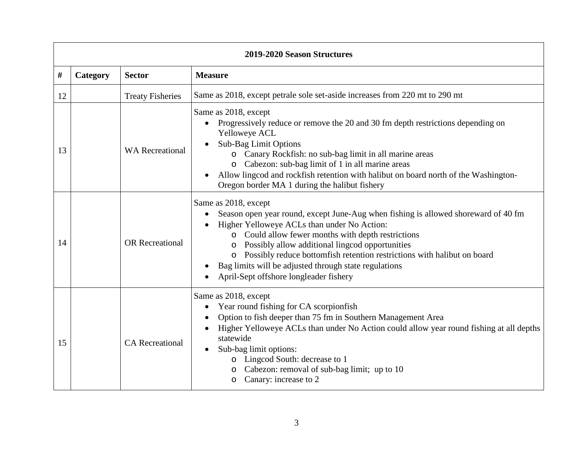| 2019-2020 Season Structures |          |                         |                                                                                                                                                                                                                                                                                                                                                                                                                                                      |
|-----------------------------|----------|-------------------------|------------------------------------------------------------------------------------------------------------------------------------------------------------------------------------------------------------------------------------------------------------------------------------------------------------------------------------------------------------------------------------------------------------------------------------------------------|
| #                           | Category | <b>Sector</b>           | <b>Measure</b>                                                                                                                                                                                                                                                                                                                                                                                                                                       |
| 12                          |          | <b>Treaty Fisheries</b> | Same as 2018, except petrale sole set-aside increases from 220 mt to 290 mt                                                                                                                                                                                                                                                                                                                                                                          |
| 13                          |          | <b>WA</b> Recreational  | Same as 2018, except<br>Progressively reduce or remove the 20 and 30 fm depth restrictions depending on<br>Yelloweye ACL<br>Sub-Bag Limit Options<br>o Canary Rockfish: no sub-bag limit in all marine areas<br>o Cabezon: sub-bag limit of 1 in all marine areas<br>Allow lingcod and rockfish retention with halibut on board north of the Washington-<br>$\bullet$<br>Oregon border MA 1 during the halibut fishery                               |
| 14                          |          | <b>OR</b> Recreational  | Same as 2018, except<br>Season open year round, except June-Aug when fishing is allowed shoreward of 40 fm<br>Higher Yelloweye ACLs than under No Action:<br>o Could allow fewer months with depth restrictions<br>o Possibly allow additional lingcod opportunities<br>o Possibly reduce bottomfish retention restrictions with halibut on board<br>Bag limits will be adjusted through state regulations<br>April-Sept offshore longleader fishery |
| 15                          |          | <b>CA</b> Recreational  | Same as 2018, except<br>Year round fishing for CA scorpionfish<br>$\bullet$<br>Option to fish deeper than 75 fm in Southern Management Area<br>Higher Yelloweye ACLs than under No Action could allow year round fishing at all depths<br>statewide<br>Sub-bag limit options:<br>o Lingcod South: decrease to 1<br>Cabezon: removal of sub-bag limit; up to 10<br>Canary: increase to 2<br>$\circ$                                                   |